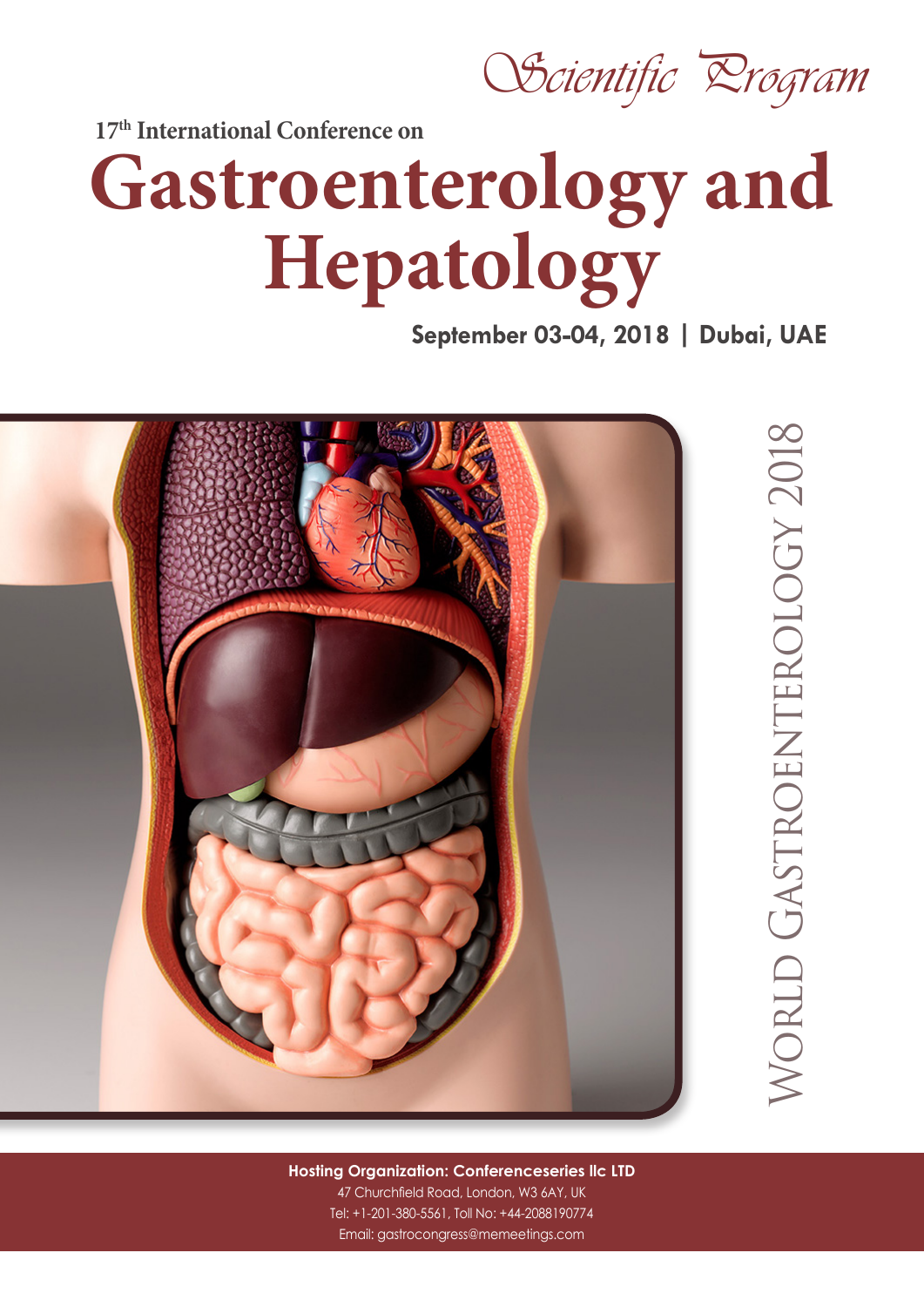Scientific *Drogram* 

**17th International Conference on** 

## **Gastroenterology and Hepatology**

**September 03-04, 2018 | Dubai, UAE** 



World Gastroenterology 2018**NORLD GASTROENTEROLOGY 2018** 

**Hosting Organization: Conferenceseries llc LTD** 47 Churchfield Road, London, W3 6AY, UK Tel: +1-201-380-5561, Toll No: +44-2088190774 Email: gastrocongress@memeetings.com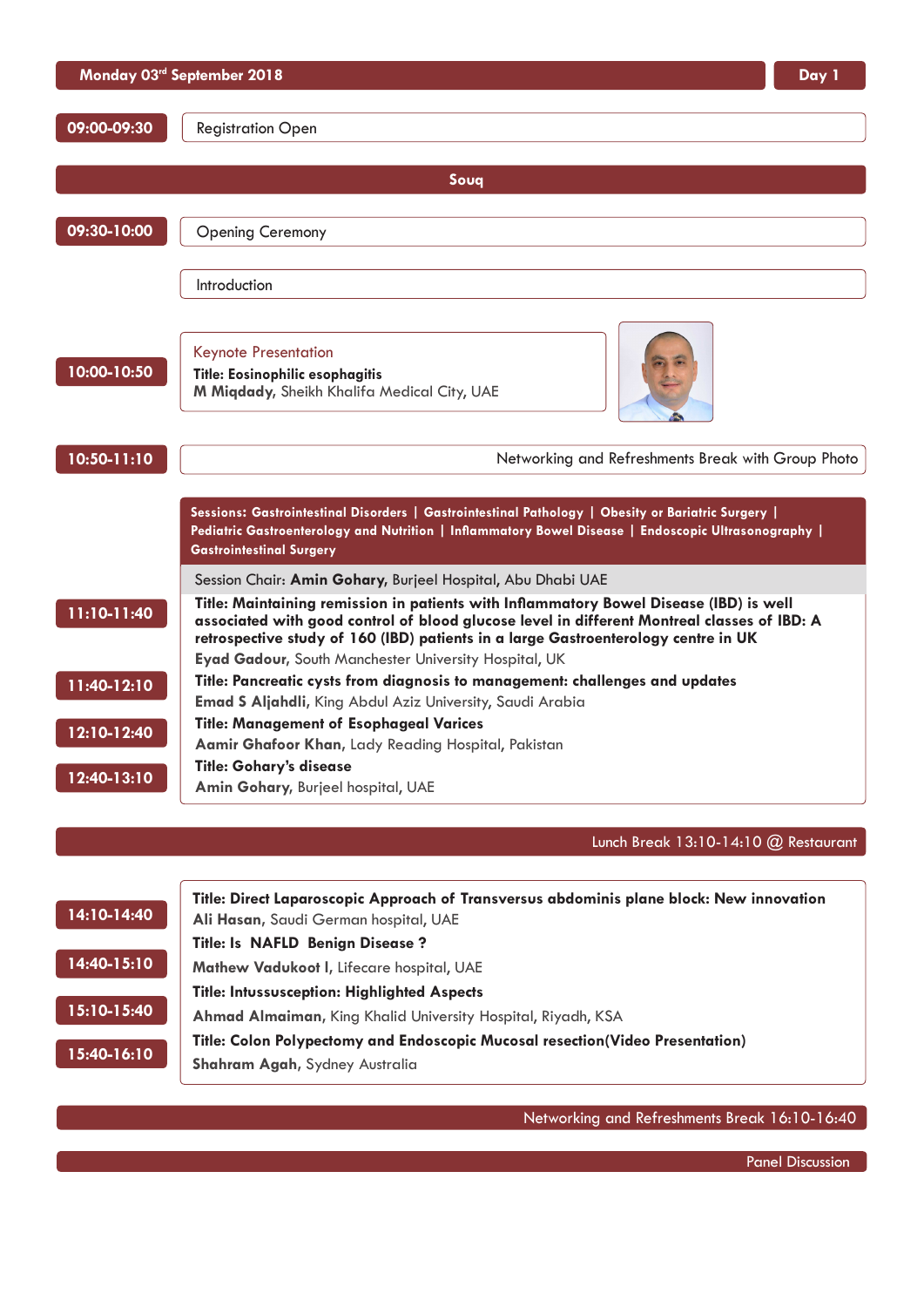|             | Monday 03rd September 2018<br>Day 1                                                                                                                                                                                                                                                                                                  |
|-------------|--------------------------------------------------------------------------------------------------------------------------------------------------------------------------------------------------------------------------------------------------------------------------------------------------------------------------------------|
| 09:00-09:30 | <b>Registration Open</b>                                                                                                                                                                                                                                                                                                             |
|             | Soug                                                                                                                                                                                                                                                                                                                                 |
| 09:30-10:00 | <b>Opening Ceremony</b>                                                                                                                                                                                                                                                                                                              |
|             | Introduction                                                                                                                                                                                                                                                                                                                         |
| 10:00-10:50 | <b>Keynote Presentation</b><br>Title: Eosinophilic esophagitis<br>M Miqdady, Sheikh Khalifa Medical City, UAE                                                                                                                                                                                                                        |
| 10:50-11:10 | Networking and Refreshments Break with Group Photo                                                                                                                                                                                                                                                                                   |
|             | Sessions: Gastrointestinal Disorders   Gastrointestinal Pathology   Obesity or Bariatric Surgery  <br>Pediatric Gastroenterology and Nutrition   Inflammatory Bowel Disease   Endoscopic Ultrasonography  <br><b>Gastrointestinal Surgery</b>                                                                                        |
|             | Session Chair: Amin Gohary, Burjeel Hospital, Abu Dhabi UAE                                                                                                                                                                                                                                                                          |
| 11:10-11:40 | Title: Maintaining remission in patients with Inflammatory Bowel Disease (IBD) is well<br>associated with good control of blood glucose level in different Montreal classes of IBD: A<br>retrospective study of 160 (IBD) patients in a large Gastroenterology centre in UK<br>Eyad Gadour, South Manchester University Hospital, UK |
| 11:40-12:10 | Title: Pancreatic cysts from diagnosis to management: challenges and updates                                                                                                                                                                                                                                                         |
| 12:10-12:40 | <b>Emad S Aljahdli, King Abdul Aziz University, Saudi Arabia</b><br><b>Title: Management of Esophageal Varices</b><br>Aamir Ghafoor Khan, Lady Reading Hospital, Pakistan                                                                                                                                                            |
| 12:40-13:10 | <b>Title: Gohary's disease</b><br>Amin Gohary, Burjeel hospital, UAE                                                                                                                                                                                                                                                                 |
|             | Lunch Break 13:10-14:10 @ Restaurant                                                                                                                                                                                                                                                                                                 |
| 14:10-14:40 | Title: Direct Laparoscopic Approach of Transversus abdominis plane block: New innovation<br>Ali Hasan, Saudi German hospital, UAE                                                                                                                                                                                                    |

**Title: [Is NAFLD Benign Disease ?](https://gastrocongress.conferenceseries.com/abstract/2018/is-nafld-benign-disease)**

**Mathew Vadukoot I, Lifecare hospital, UAE 14:40-15:10**

|             | Title: Intussusception: Highlighted Aspects |
|-------------|---------------------------------------------|
| 15:10-15:40 | Ahmad Almaiman, King Khalid University H    |
|             | Title: Calan Pelvacetanos and Endecessia A  |

**15:40-16:10**

**Title: [Colon Polypectomy and Endoscopic Mucosal resection\(Video Presentation\)](https://gastrocongress.conferenceseries.com/abstract/2018/colon-poly-pectomy-and-endoscopic-mucosal-resection) [Shahram Agah,](https://gastrocongress.conferenceseries.com/speaker/2018/shahram-agah-iran-university-of-medical-sciences-iran-1826916964)** Sydney Australia

**[Ahmad Almaiman,](https://gastrocongress.conferenceseries.com/speaker/2018/ahmad-almaiman-king-khalid-university-hospital-riyadh-ksa)** King Khalid University Hospital, Riyadh, KSA

Networking and Refreshments Break 16:10-16:40

Panel Discussion